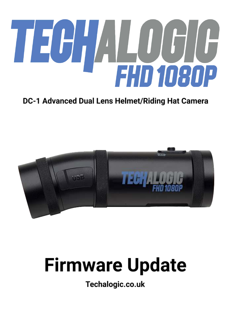# TECHALOGIC

# DC-1 Advanced Dual Lens Helmet/Riding Hat Camera



# **Firmware Update**

Techalogic.co.uk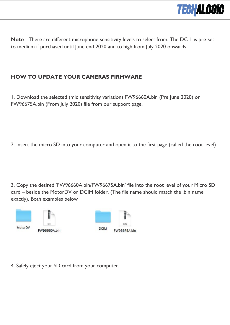

**Note** - There are different microphone sensitivity levels to select from. The DC-1 is pre-set to medium if purchased until June end 2020 and to high from July 2020 onwards.

### **HOW TO UPDATE YOUR CAMERAS FIRMWARE**

1. Download the selected (mic sensitivity variation) FW96660A.bin (Pre June 2020) or FW96675A.bin (From July 2020) file from our support page.

2. Insert the micro SD into your computer and open it to the first page (called the root level)

3. Copy the desired 'FW96660A.bin/FW96675A.bin' file into the root level of your Micro SD card – beside the MotorDV or DCIM folder. (The file name should match the .bin name exactly). Both examples below



4. Safely eject your SD card from your computer.